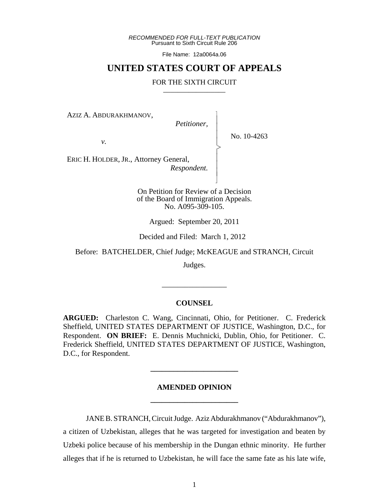*RECOMMENDED FOR FULL-TEXT PUBLICATION* Pursuant to Sixth Circuit Rule 206

File Name: 12a0064a.06

# **UNITED STATES COURT OF APPEALS**

#### FOR THE SIXTH CIRCUIT

AZIZ A. ABDURAKHMANOV,

 *Petitioner,*

 $\overline{\phantom{a}}$ - - - > , - - - N

No. 10-4263

*v.*

ERIC H. HOLDER, JR., Attorney General,  *Respondent.*

> On Petition for Review of a Decision of the Board of Immigration Appeals. No. A095-309-105.

Argued: September 20, 2011

Decided and Filed: March 1, 2012

Before: BATCHELDER, Chief Judge; McKEAGUE and STRANCH, Circuit

Judges.

#### **COUNSEL**

\_\_\_\_\_\_\_\_\_\_\_\_\_\_\_\_\_

**ARGUED:** Charleston C. Wang, Cincinnati, Ohio, for Petitioner. C. Frederick Sheffield, UNITED STATES DEPARTMENT OF JUSTICE, Washington, D.C., for Respondent. **ON BRIEF:** E. Dennis Muchnicki, Dublin, Ohio, for Petitioner. C. Frederick Sheffield, UNITED STATES DEPARTMENT OF JUSTICE, Washington, D.C., for Respondent.

# **AMENDED OPINION \_\_\_\_\_\_\_\_\_\_\_\_\_\_\_\_\_\_\_\_\_\_\_**

**\_\_\_\_\_\_\_\_\_\_\_\_\_\_\_\_\_\_\_\_\_\_\_**

JANE B. STRANCH, Circuit Judge. Aziz Abdurakhmanov ("Abdurakhmanov"), a citizen of Uzbekistan, alleges that he was targeted for investigation and beaten by Uzbeki police because of his membership in the Dungan ethnic minority. He further alleges that if he is returned to Uzbekistan, he will face the same fate as his late wife,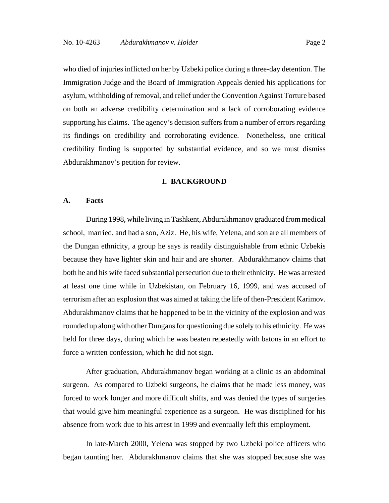who died of injuries inflicted on her by Uzbeki police during a three-day detention. The Immigration Judge and the Board of Immigration Appeals denied his applications for asylum, withholding of removal, and relief under the Convention Against Torture based on both an adverse credibility determination and a lack of corroborating evidence supporting his claims. The agency's decision suffers from a number of errors regarding its findings on credibility and corroborating evidence. Nonetheless, one critical credibility finding is supported by substantial evidence, and so we must dismiss Abdurakhmanov's petition for review.

#### **I. BACKGROUND**

# **A. Facts**

During 1998, while living in Tashkent, Abdurakhmanov graduated from medical school, married, and had a son, Aziz. He, his wife, Yelena, and son are all members of the Dungan ethnicity, a group he says is readily distinguishable from ethnic Uzbekis because they have lighter skin and hair and are shorter. Abdurakhmanov claims that both he and his wife faced substantial persecution due to their ethnicity. He was arrested at least one time while in Uzbekistan, on February 16, 1999, and was accused of terrorism after an explosion that was aimed at taking the life of then-President Karimov. Abdurakhmanov claims that he happened to be in the vicinity of the explosion and was rounded up along with other Dungans for questioning due solely to his ethnicity. He was held for three days, during which he was beaten repeatedly with batons in an effort to force a written confession, which he did not sign.

After graduation, Abdurakhmanov began working at a clinic as an abdominal surgeon. As compared to Uzbeki surgeons, he claims that he made less money, was forced to work longer and more difficult shifts, and was denied the types of surgeries that would give him meaningful experience as a surgeon. He was disciplined for his absence from work due to his arrest in 1999 and eventually left this employment.

In late-March 2000, Yelena was stopped by two Uzbeki police officers who began taunting her. Abdurakhmanov claims that she was stopped because she was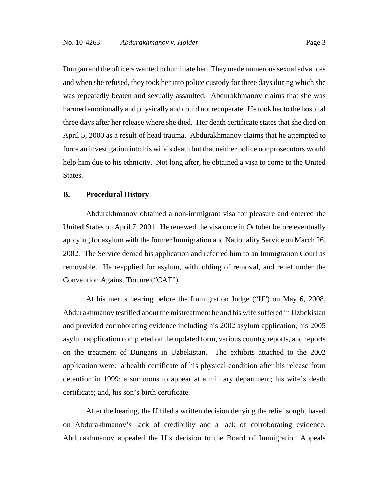Dungan and the officers wanted to humiliate her. They made numerous sexual advances and when she refused, they took her into police custody for three days during which she was repeatedly beaten and sexually assaulted. Abdurakhmanov claims that she was harmed emotionally and physically and could not recuperate. He took her to the hospital three days after her release where she died. Her death certificate states that she died on April 5, 2000 as a result of head trauma. Abdurakhmanov claims that he attempted to force an investigation into his wife's death but that neither police nor prosecutors would help him due to his ethnicity. Not long after, he obtained a visa to come to the United States.

# **B. Procedural History**

Abdurakhmanov obtained a non-immigrant visa for pleasure and entered the United States on April 7, 2001. He renewed the visa once in October before eventually applying for asylum with the former Immigration and Nationality Service on March 26, 2002. The Service denied his application and referred him to an Immigration Court as removable. He reapplied for asylum, withholding of removal, and relief under the Convention Against Torture ("CAT").

At his merits hearing before the Immigration Judge ("IJ") on May 6, 2008, Abdurakhmanov testified about the mistreatment he and his wife suffered in Uzbekistan and provided corroborating evidence including his 2002 asylum application, his 2005 asylum application completed on the updated form, various country reports, and reports on the treatment of Dungans in Uzbekistan. The exhibits attached to the 2002 application were: a health certificate of his physical condition after his release from detention in 1999; a summons to appear at a military department; his wife's death certificate; and, his son's birth certificate.

After the hearing, the IJ filed a written decision denying the relief sought based on Abdurakhmanov's lack of credibility and a lack of corroborating evidence. Abdurakhmanov appealed the IJ's decision to the Board of Immigration Appeals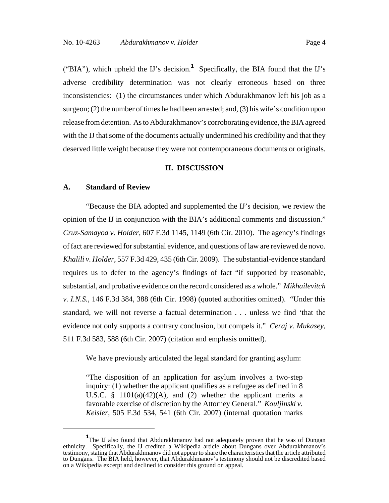("BIA"), which upheld the IJ's decision.**<sup>1</sup>** Specifically, the BIA found that the IJ's adverse credibility determination was not clearly erroneous based on three inconsistencies: (1) the circumstances under which Abdurakhmanov left his job as a surgeon; (2) the number of times he had been arrested; and, (3) his wife's condition upon release from detention. As to Abdurakhmanov's corroborating evidence, the BIA agreed with the IJ that some of the documents actually undermined his credibility and that they deserved little weight because they were not contemporaneous documents or originals.

# **II. DISCUSSION**

## **A. Standard of Review**

"Because the BIA adopted and supplemented the IJ's decision, we review the opinion of the IJ in conjunction with the BIA's additional comments and discussion." *Cruz-Samayoa v. Holder*, 607 F.3d 1145, 1149 (6th Cir. 2010). The agency's findings of fact are reviewed for substantial evidence, and questions of law are reviewed de novo. *Khalili v. Holder*, 557 F.3d 429, 435 (6th Cir. 2009). The substantial-evidence standard requires us to defer to the agency's findings of fact "if supported by reasonable, substantial, and probative evidence on the record considered as a whole." *Mikhailevitch v. I.N.S.*, 146 F.3d 384, 388 (6th Cir. 1998) (quoted authorities omitted). "Under this standard, we will not reverse a factual determination . . . unless we find 'that the evidence not only supports a contrary conclusion, but compels it." *Ceraj v. Mukasey*, 511 F.3d 583, 588 (6th Cir. 2007) (citation and emphasis omitted).

We have previously articulated the legal standard for granting asylum:

"The disposition of an application for asylum involves a two-step inquiry: (1) whether the applicant qualifies as a refugee as defined in 8 U.S.C. § 1101(a)(42)(A), and (2) whether the applicant merits a favorable exercise of discretion by the Attorney General." *Kouljinski v. Keisler*, 505 F.3d 534, 541 (6th Cir. 2007) (internal quotation marks

<sup>&</sup>lt;sup>1</sup>The IJ also found that Abdurakhmanov had not adequately proven that he was of Dungan ethnicity. Specifically, the IJ credited a Wikipedia article about Dungans over Abdurakhmanov's testimony, stating that Abdurakhmanov did not appear to share the characteristics that the article attributed to Dungans. The BIA held, however, that Abdurakhmanov's testimony should not be discredited based on a Wikipedia excerpt and declined to consider this ground on appeal.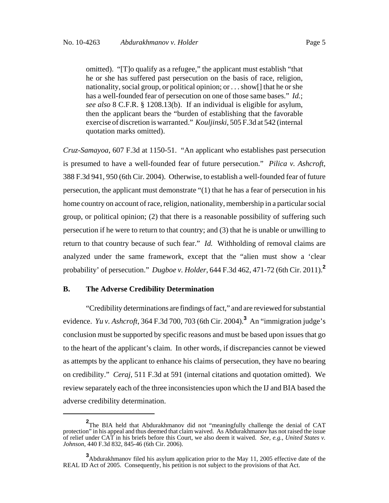omitted). "[T]o qualify as a refugee," the applicant must establish "that he or she has suffered past persecution on the basis of race, religion, nationality, social group, or political opinion; or . . . show[] that he or she has a well-founded fear of persecution on one of those same bases." *Id.*; *see also* 8 C.F.R. § 1208.13(b). If an individual is eligible for asylum, then the applicant bears the "burden of establishing that the favorable exercise of discretion is warranted." *Kouljinski*, 505 F.3d at 542 (internal quotation marks omitted).

*Cruz-Samayoa*, 607 F.3d at 1150-51. "An applicant who establishes past persecution is presumed to have a well-founded fear of future persecution." *Pilica v. Ashcroft*, 388 F.3d 941, 950 (6th Cir. 2004). Otherwise, to establish a well-founded fear of future persecution, the applicant must demonstrate "(1) that he has a fear of persecution in his home country on account of race, religion, nationality, membership in a particular social group, or political opinion; (2) that there is a reasonable possibility of suffering such persecution if he were to return to that country; and (3) that he is unable or unwilling to return to that country because of such fear." *Id.* Withholding of removal claims are analyzed under the same framework, except that the "alien must show a 'clear probability' of persecution." *Dugboe v. Holder*, 644 F.3d 462, 471-72 (6th Cir. 2011).**<sup>2</sup>**

## **B. The Adverse Credibility Determination**

"Credibility determinations are findings of fact," and are reviewed for substantial evidence. *Yu v. Ashcroft*, 364 F.3d 700, 703 (6th Cir. 2004).**<sup>3</sup>** An "immigration judge's conclusion must be supported by specific reasons and must be based upon issues that go to the heart of the applicant's claim. In other words, if discrepancies cannot be viewed as attempts by the applicant to enhance his claims of persecution, they have no bearing on credibility." *Ceraj*, 511 F.3d at 591 (internal citations and quotation omitted). We review separately each of the three inconsistencies upon which the IJ and BIA based the adverse credibility determination.

**<sup>2</sup>** The BIA held that Abdurakhmanov did not "meaningfully challenge the denial of CAT protection" in his appeal and thus deemed that claim waived. As Abdurakhmanov has not raised the issue of relief under CAT in his briefs before this Court, we also deem it waived. *See, e.g.*, *United States v. Johnson*, 440 F.3d 832, 845-46 (6th Cir. 2006).

**<sup>3</sup>**<br>Abdurakhmanov filed his asylum application prior to the May 11, 2005 effective date of the REAL ID Act of 2005. Consequently, his petition is not subject to the provisions of that Act.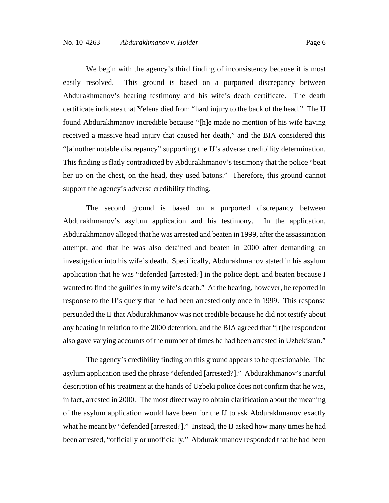We begin with the agency's third finding of inconsistency because it is most easily resolved. This ground is based on a purported discrepancy between Abdurakhmanov's hearing testimony and his wife's death certificate. The death certificate indicates that Yelena died from "hard injury to the back of the head." The IJ found Abdurakhmanov incredible because "[h]e made no mention of his wife having received a massive head injury that caused her death," and the BIA considered this "[a]nother notable discrepancy" supporting the IJ's adverse credibility determination. This finding is flatly contradicted by Abdurakhmanov's testimony that the police "beat her up on the chest, on the head, they used batons." Therefore, this ground cannot support the agency's adverse credibility finding.

The second ground is based on a purported discrepancy between Abdurakhmanov's asylum application and his testimony. In the application, Abdurakhmanov alleged that he was arrested and beaten in 1999, after the assassination attempt, and that he was also detained and beaten in 2000 after demanding an investigation into his wife's death. Specifically, Abdurakhmanov stated in his asylum application that he was "defended [arrested?] in the police dept. and beaten because I wanted to find the guilties in my wife's death." At the hearing, however, he reported in response to the IJ's query that he had been arrested only once in 1999. This response persuaded the IJ that Abdurakhmanov was not credible because he did not testify about any beating in relation to the 2000 detention, and the BIA agreed that "[t]he respondent also gave varying accounts of the number of times he had been arrested in Uzbekistan."

The agency's credibility finding on this ground appears to be questionable. The asylum application used the phrase "defended [arrested?]." Abdurakhmanov's inartful description of his treatment at the hands of Uzbeki police does not confirm that he was, in fact, arrested in 2000. The most direct way to obtain clarification about the meaning of the asylum application would have been for the IJ to ask Abdurakhmanov exactly what he meant by "defended [arrested?]." Instead, the IJ asked how many times he had been arrested, "officially or unofficially." Abdurakhmanov responded that he had been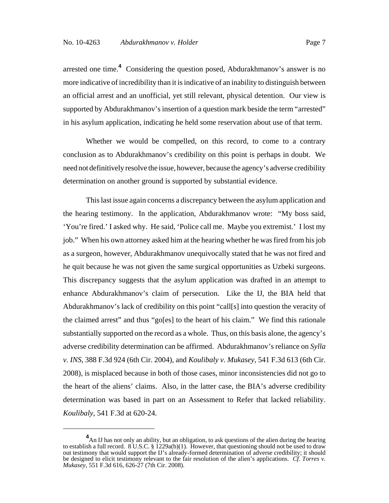arrested one time.**<sup>4</sup>** Considering the question posed, Abdurakhmanov's answer is no more indicative of incredibility than it is indicative of an inability to distinguish between an official arrest and an unofficial, yet still relevant, physical detention. Our view is supported by Abdurakhmanov's insertion of a question mark beside the term "arrested" in his asylum application, indicating he held some reservation about use of that term.

Whether we would be compelled, on this record, to come to a contrary conclusion as to Abdurakhmanov's credibility on this point is perhaps in doubt. We need not definitively resolve the issue, however, because the agency's adverse credibility determination on another ground is supported by substantial evidence.

This last issue again concerns a discrepancy between the asylum application and the hearing testimony. In the application, Abdurakhmanov wrote: "My boss said, 'You're fired.' I asked why. He said, 'Police call me. Maybe you extremist.' I lost my job." When his own attorney asked him at the hearing whether he was fired from his job as a surgeon, however, Abdurakhmanov unequivocally stated that he was not fired and he quit because he was not given the same surgical opportunities as Uzbeki surgeons. This discrepancy suggests that the asylum application was drafted in an attempt to enhance Abdurakhmanov's claim of persecution. Like the IJ, the BIA held that Abdurakhmanov's lack of credibility on this point "call[s] into question the veracity of the claimed arrest" and thus "go[es] to the heart of his claim." We find this rationale substantially supported on the record as a whole. Thus, on this basis alone, the agency's adverse credibility determination can be affirmed. Abdurakhmanov's reliance on *Sylla v. INS*, 388 F.3d 924 (6th Cir. 2004), and *Koulibaly v. Mukasey*, 541 F.3d 613 (6th Cir. 2008), is misplaced because in both of those cases, minor inconsistencies did not go to the heart of the aliens' claims. Also, in the latter case, the BIA's adverse credibility determination was based in part on an Assessment to Refer that lacked reliability. *Koulibaly*, 541 F.3d at 620-24.

**<sup>4</sup>** An IJ has not only an ability, but an obligation, to ask questions of the alien during the hearing to establish a full record. 8 U.S.C. § 1229a(b)(1). However, that questioning should not be used to draw out testimony that would support the IJ's already-formed determination of adverse credibility; it should be designed to elicit testimony relevant to the fair resolution of the alien's applications. *Cf. Torres v. Mukasey*, 551 F.3d 616, 626-27 (7th Cir. 2008).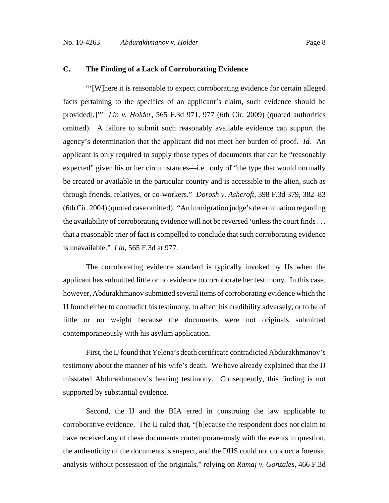# **C. The Finding of a Lack of Corroborating Evidence**

"'[W]here it is reasonable to expect corroborating evidence for certain alleged facts pertaining to the specifics of an applicant's claim, such evidence should be provided[.]'" *Lin v. Holder*, 565 F.3d 971, 977 (6th Cir. 2009) (quoted authorities omitted). A failure to submit such reasonably available evidence can support the agency's determination that the applicant did not meet her burden of proof. *Id.* An applicant is only required to supply those types of documents that can be "reasonably expected" given his or her circumstances—i.e., only of "the type that would normally be created or available in the particular country and is accessible to the alien, such as through friends, relatives, or co-workers." *Dorosh v. Ashcroft*, 398 F.3d 379, 382–83 (6th Cir. 2004) (quoted case omitted). "An immigration judge's determination regarding the availability of corroborating evidence will not be reversed 'unless the court finds . . . that a reasonable trier of fact is compelled to conclude that such corroborating evidence is unavailable." *Lin*, 565 F.3d at 977.

The corroborating evidence standard is typically invoked by IJs when the applicant has submitted little or no evidence to corroborate her testimony. In this case, however, Abdurakhmanov submitted several items of corroborating evidence which the IJ found either to contradict his testimony, to affect his credibility adversely, or to be of little or no weight because the documents were not originals submitted contemporaneously with his asylum application.

First, the IJ found that Yelena's death certificate contradicted Abdurakhmanov's testimony about the manner of his wife's death. We have already explained that the IJ misstated Abdurakhmanov's hearing testimony. Consequently, this finding is not supported by substantial evidence.

Second, the IJ and the BIA erred in construing the law applicable to corroborative evidence. The IJ ruled that, "[b]ecause the respondent does not claim to have received any of these documents contemporaneously with the events in question, the authenticity of the documents is suspect, and the DHS could not conduct a forensic analysis without possession of the originals," relying on *Ramaj v. Gonzales*, 466 F.3d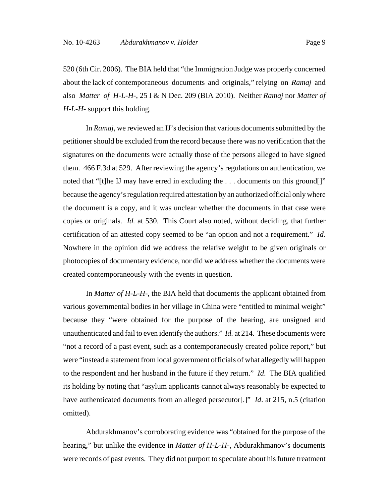520 (6th Cir. 2006). The BIA held that "the Immigration Judge was properly concerned about the lack of contemporaneous documents and originals," relying on *Ramaj* and also *Matter of H-L-H-*, 25 I & N Dec. 209 (BIA 2010). Neither *Ramaj* nor *Matter of H-L-H-* support this holding.

In *Ramaj*, we reviewed an IJ's decision that various documents submitted by the petitioner should be excluded from the record because there was no verification that the signatures on the documents were actually those of the persons alleged to have signed them. 466 F.3d at 529. After reviewing the agency's regulations on authentication, we noted that "[t]he IJ may have erred in excluding the ... documents on this ground[]" because the agency's regulation required attestation by an authorized official only where the document is a copy, and it was unclear whether the documents in that case were copies or originals. *Id.* at 530. This Court also noted, without deciding, that further certification of an attested copy seemed to be "an option and not a requirement." *Id.* Nowhere in the opinion did we address the relative weight to be given originals or photocopies of documentary evidence, nor did we address whether the documents were created contemporaneously with the events in question.

In *Matter of H-L-H-*, the BIA held that documents the applicant obtained from various governmental bodies in her village in China were "entitled to minimal weight" because they "were obtained for the purpose of the hearing, are unsigned and unauthenticated and fail to even identify the authors." *Id.* at 214. These documents were "not a record of a past event, such as a contemporaneously created police report," but were "instead a statement from local government officials of what allegedly will happen to the respondent and her husband in the future if they return." *Id*. The BIA qualified its holding by noting that "asylum applicants cannot always reasonably be expected to have authenticated documents from an alleged persecutor[.]" *Id*. at 215, n.5 (citation omitted).

Abdurakhmanov's corroborating evidence was "obtained for the purpose of the hearing," but unlike the evidence in *Matter of H-L-H-*, Abdurakhmanov's documents were records of past events. They did not purport to speculate about his future treatment